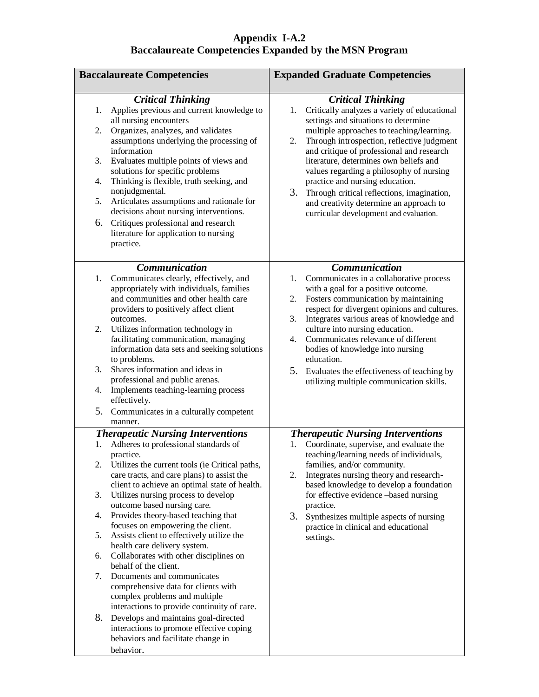## **Appendix I-A.2 Baccalaureate Competencies Expanded by the MSN Program**

| <b>Baccalaureate Competencies</b>                                                                                                                                                                                                                                                                                                                                                                                                                                                                                                                                                                                                                                                                                                                                                                                                                                                            | <b>Expanded Graduate Competencies</b>                                                                                                                                                                                                                                                                                                                                                                                                                                                                                                  |  |
|----------------------------------------------------------------------------------------------------------------------------------------------------------------------------------------------------------------------------------------------------------------------------------------------------------------------------------------------------------------------------------------------------------------------------------------------------------------------------------------------------------------------------------------------------------------------------------------------------------------------------------------------------------------------------------------------------------------------------------------------------------------------------------------------------------------------------------------------------------------------------------------------|----------------------------------------------------------------------------------------------------------------------------------------------------------------------------------------------------------------------------------------------------------------------------------------------------------------------------------------------------------------------------------------------------------------------------------------------------------------------------------------------------------------------------------------|--|
| <b>Critical Thinking</b><br>Applies previous and current knowledge to<br>1.<br>all nursing encounters<br>Organizes, analyzes, and validates<br>2.<br>assumptions underlying the processing of<br>information<br>Evaluates multiple points of views and<br>3.<br>solutions for specific problems<br>Thinking is flexible, truth seeking, and<br>4.<br>nonjudgmental.<br>Articulates assumptions and rationale for<br>5.<br>decisions about nursing interventions.<br>Critiques professional and research<br>6.<br>literature for application to nursing<br>practice.                                                                                                                                                                                                                                                                                                                          | <b>Critical Thinking</b><br>Critically analyzes a variety of educational<br>1.<br>settings and situations to determine<br>multiple approaches to teaching/learning.<br>Through introspection, reflective judgment<br>2.<br>and critique of professional and research<br>literature, determines own beliefs and<br>values regarding a philosophy of nursing<br>practice and nursing education.<br>3.<br>Through critical reflections, imagination,<br>and creativity determine an approach to<br>curricular development and evaluation. |  |
| <b>Communication</b><br>Communicates clearly, effectively, and<br>1.<br>appropriately with individuals, families<br>and communities and other health care<br>providers to positively affect client<br>outcomes.<br>Utilizes information technology in<br>2.<br>facilitating communication, managing<br>information data sets and seeking solutions<br>to problems.<br>Shares information and ideas in<br>3.<br>professional and public arenas.<br>Implements teaching-learning process<br>4.<br>effectively.<br>5.<br>Communicates in a culturally competent<br>manner.                                                                                                                                                                                                                                                                                                                      | <b>Communication</b><br>Communicates in a collaborative process<br>1.<br>with a goal for a positive outcome.<br>Fosters communication by maintaining<br>2.<br>respect for divergent opinions and cultures.<br>Integrates various areas of knowledge and<br>3.<br>culture into nursing education.<br>Communicates relevance of different<br>4.<br>bodies of knowledge into nursing<br>education.<br>5.<br>Evaluates the effectiveness of teaching by<br>utilizing multiple communication skills.                                        |  |
| <b>Therapeutic Nursing Interventions</b><br>Adheres to professional standards of<br>1.<br>practice.<br>2.<br>Utilizes the current tools (ie Critical paths,<br>care tracts, and care plans) to assist the<br>client to achieve an optimal state of health.<br>3.<br>Utilizes nursing process to develop<br>outcome based nursing care.<br>Provides theory-based teaching that<br>4.<br>focuses on empowering the client.<br>Assists client to effectively utilize the<br>5.<br>health care delivery system.<br>Collaborates with other disciplines on<br>6.<br>behalf of the client.<br>Documents and communicates<br>7.<br>comprehensive data for clients with<br>complex problems and multiple<br>interactions to provide continuity of care.<br>8.<br>Develops and maintains goal-directed<br>interactions to promote effective coping<br>behaviors and facilitate change in<br>behavior. | <b>Therapeutic Nursing Interventions</b><br>Coordinate, supervise, and evaluate the<br>1.<br>teaching/learning needs of individuals,<br>families, and/or community.<br>Integrates nursing theory and research-<br>2.<br>based knowledge to develop a foundation<br>for effective evidence -based nursing<br>practice.<br>3.<br>Synthesizes multiple aspects of nursing<br>practice in clinical and educational<br>settings.                                                                                                            |  |